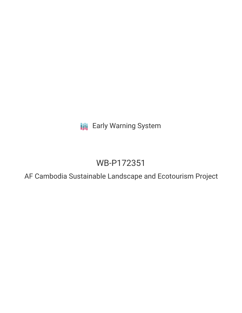**III** Early Warning System

# WB-P172351

AF Cambodia Sustainable Landscape and Ecotourism Project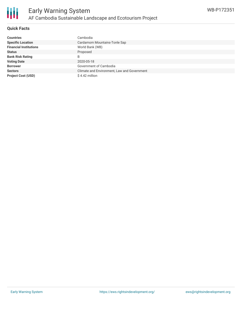

#### **Quick Facts**

| <b>Countries</b>              | Cambodia                                    |
|-------------------------------|---------------------------------------------|
| <b>Specific Location</b>      | Cardamom Mountains-Tonle Sap                |
| <b>Financial Institutions</b> | World Bank (WB)                             |
| <b>Status</b>                 | Proposed                                    |
| <b>Bank Risk Rating</b>       | B                                           |
| <b>Voting Date</b>            | 2020-05-18                                  |
| <b>Borrower</b>               | Government of Cambodia                      |
| <b>Sectors</b>                | Climate and Environment, Law and Government |
| <b>Project Cost (USD)</b>     | $$4.42$ million                             |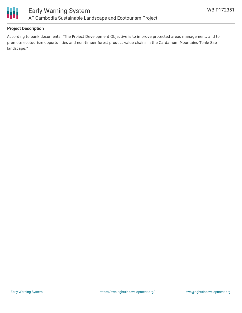

#### **Project Description**

According to bank documents, "The Project Development Objective is to improve protected areas management, and to promote ecotourism opportunities and non-timber forest product value chains in the Cardamom Mountains-Tonle Sap landscape."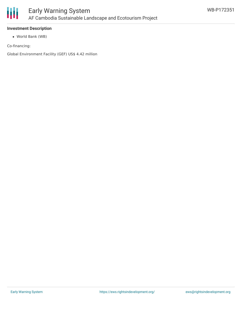

### **Investment Description**

World Bank (WB)

Co-financing:

Global Environment Facility (GEF) US\$ 4.42 million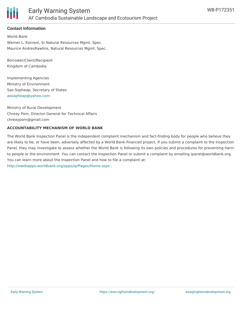

#### **Contact Information**

World Bank Werner L. Kornexl, Sr Natural Resources Mgmt. Spec. Maurice AndresRawlins, Natural Resources Mgmt. Spec.

Borrower/Client/Recipient Kingdom of Cambodia

Implementing Agencies Ministry of Environment Sao Sopheap, Secretary of States [aosopheap@yahoo.com](mailto:aosopheap@yahoo.com)

Ministry of Rural Development Chreay Pom, Director General for Technical Affairs chreaypom@gmail.com

#### **ACCOUNTABILITY MECHANISM OF WORLD BANK**

The World Bank Inspection Panel is the independent complaint mechanism and fact-finding body for people who believe they are likely to be, or have been, adversely affected by a World Bank-financed project. If you submit a complaint to the Inspection Panel, they may investigate to assess whether the World Bank is following its own policies and procedures for preventing harm to people or the environment. You can contact the Inspection Panel or submit a complaint by emailing ipanel@worldbank.org. You can learn more about the Inspection Panel and how to file a complaint at: <http://ewebapps.worldbank.org/apps/ip/Pages/Home.aspx> .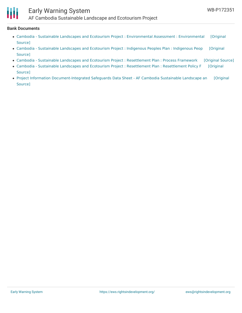

## Early Warning System

AF Cambodia Sustainable Landscape and Ecotourism Project

#### **Bank Documents**

- Cambodia Sustainable Landscapes and Ecotourism Project : Environmental Assessment : [Environmental](https://ewsdata.rightsindevelopment.org/files/documents/51/WB-P172351_Rc31Gn8.pdf) [Original Source]
- Cambodia Sustainable [Landscapes](https://ewsdata.rightsindevelopment.org/files/documents/51/WB-P172351_5KZZVGh.pdf) and Ecotourism Project : Indigenous Peoples Plan : Indigenous Peop [Original Source]
- Cambodia Sustainable Landscapes and Ecotourism Project : [Resettlement](https://ewsdata.rightsindevelopment.org/files/documents/51/WB-P172351_Gl9pqeW.pdf) Plan : Process Framework [\[Original](http://documents.worldbank.org/curated/en/749161577691828733/pdf/Process-Framework.pdf) Source]
- Cambodia Sustainable Landscapes and Ecotourism Project : Resettlement Plan : [Resettlement](http://documents.worldbank.org/curated/en/415951577692680111/pdf/Resettlement-Policy-Framework.pdf) Policy F [Original Source]
- Project Information [Document-Integrated](http://documents.worldbank.org/curated/en/925331582013153442/pdf/Project-Information-Document-Integrated-Safeguards-Data-Sheet-AF-Cambodia-Sustainable-Landscape-and-Ecotourism-Project-P172351.pdf) Safeguards Data Sheet AF Cambodia Sustainable Landscape an [Original Source]